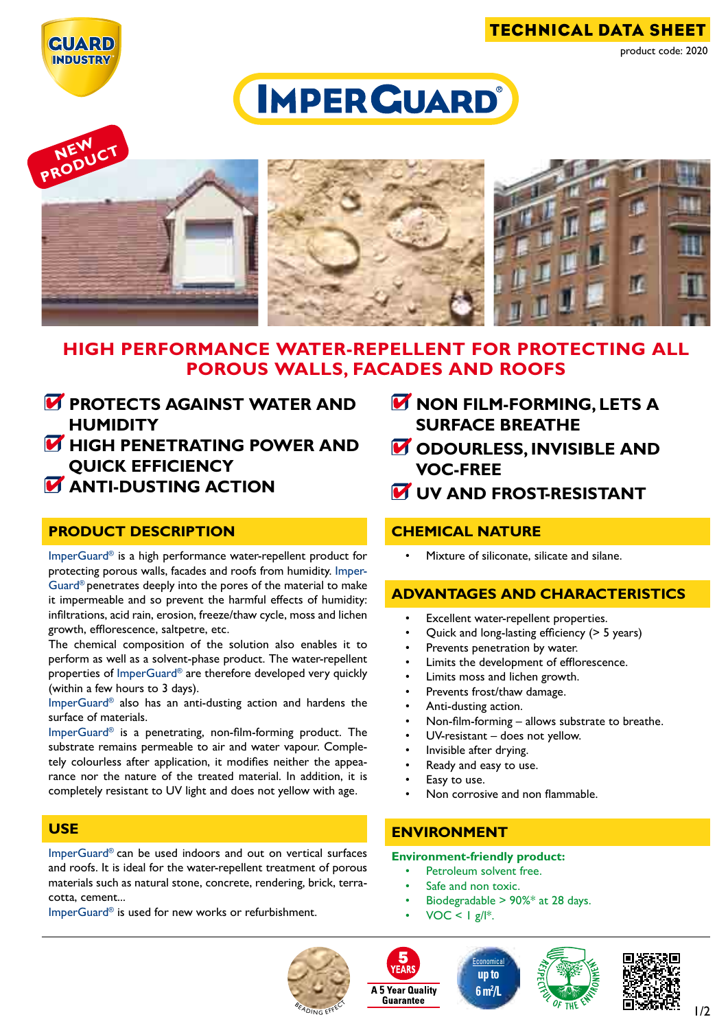

technical data sheet product code: 2020

# **IMPER GUARD®**



## **High performance water-repellent for PROTECTIng ALL POROUS WALLS, FACADES AND ROOFS**

- *M* PROTECTS AGAINST WATER AND **humidity HIGH PENETRATING POWER AND**
- **quick efficiency**
- **M** ANTI-DUSTING ACTION

## **product description**

ImperGuard® is a high performance water-repellent product for protecting porous walls, facades and roofs from humidity. Imper-Guard® penetrates deeply into the pores of the material to make it impermeable and so prevent the harmful effects of humidity: infiltrations, acid rain, erosion, freeze/thaw cycle, moss and lichen growth, efflorescence, saltpetre, etc.

The chemical composition of the solution also enables it to perform as well as a solvent-phase product. The water-repellent properties of ImperGuard® are therefore developed very quickly (within a few hours to 3 days).

ImperGuard® also has an anti-dusting action and hardens the surface of materials.

ImperGuard® is a penetrating, non-film-forming product. The substrate remains permeable to air and water vapour. Completely colourless after application, it modifies neither the appearance nor the nature of the treated material. In addition, it is completely resistant to UV light and does not yellow with age.

### **use**

ImperGuard® can be used indoors and out on vertical surfaces and roofs. It is ideal for the water-repellent treatment of porous materials such as natural stone, concrete, rendering, brick, terracotta, cement...

ImperGuard® is used for new works or refurbishment.

- *M* NON FILM-FORMING, LETS A **surface breathe**
- *M* ODOURLESS, INVISIBLE AND **VOC-free**
- **W** UV AND FROST-RESISTANT

## **chemical nature**

Mixture of siliconate, silicate and silane.

## **advantages and characteristics**

- Excellent water-repellent properties.
- Quick and long-lasting efficiency (> 5 years)
- Prevents penetration by water.
- Limits the development of efflorescence.
- Limits moss and lichen growth.
- Prevents frost/thaw damage.
- Anti-dusting action.
- Non-film-forming  $-$  allows substrate to breathe.
- $UV$ -resistant does not yellow.
- Invisible after drying.
- Ready and easy to use.
- Easy to use.
- Non corrosive and non flammable.

## **environment**

#### **Environment-friendly product:**

- Petroleum solvent free.
- Safe and non toxic.
- Biodegradable  $> 90\%$ \* at 28 days.

**Economical up to 6 m2 /L**

 $VOC < I g/I^*$ .